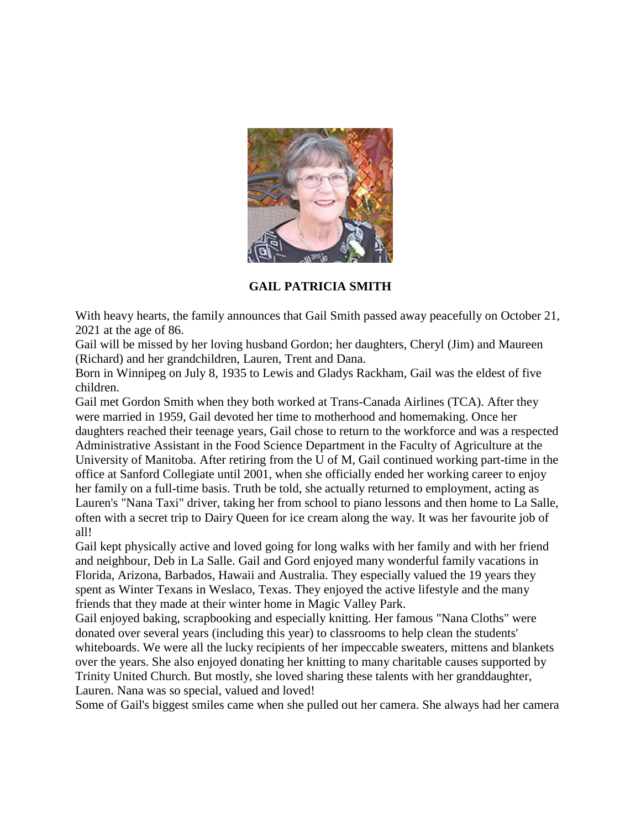

**GAIL PATRICIA SMITH**

With heavy hearts, the family announces that Gail Smith passed away peacefully on October 21, 2021 at the age of 86.

Gail will be missed by her loving husband Gordon; her daughters, Cheryl (Jim) and Maureen (Richard) and her grandchildren, Lauren, Trent and Dana.

Born in Winnipeg on July 8, 1935 to Lewis and Gladys Rackham, Gail was the eldest of five children.

Gail met Gordon Smith when they both worked at Trans-Canada Airlines (TCA). After they were married in 1959, Gail devoted her time to motherhood and homemaking. Once her daughters reached their teenage years, Gail chose to return to the workforce and was a respected Administrative Assistant in the Food Science Department in the Faculty of Agriculture at the University of Manitoba. After retiring from the U of M, Gail continued working part-time in the office at Sanford Collegiate until 2001, when she officially ended her working career to enjoy her family on a full-time basis. Truth be told, she actually returned to employment, acting as Lauren's "Nana Taxi" driver, taking her from school to piano lessons and then home to La Salle, often with a secret trip to Dairy Queen for ice cream along the way. It was her favourite job of all!

Gail kept physically active and loved going for long walks with her family and with her friend and neighbour, Deb in La Salle. Gail and Gord enjoyed many wonderful family vacations in Florida, Arizona, Barbados, Hawaii and Australia. They especially valued the 19 years they spent as Winter Texans in Weslaco, Texas. They enjoyed the active lifestyle and the many friends that they made at their winter home in Magic Valley Park.

Gail enjoyed baking, scrapbooking and especially knitting. Her famous "Nana Cloths" were donated over several years (including this year) to classrooms to help clean the students' whiteboards. We were all the lucky recipients of her impeccable sweaters, mittens and blankets over the years. She also enjoyed donating her knitting to many charitable causes supported by Trinity United Church. But mostly, she loved sharing these talents with her granddaughter, Lauren. Nana was so special, valued and loved!

Some of Gail's biggest smiles came when she pulled out her camera. She always had her camera